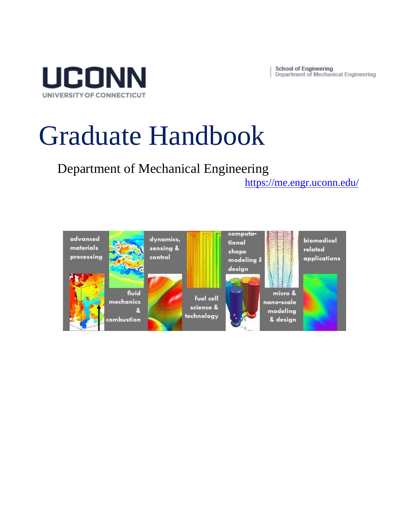**School of Engineering** Department of Mechanical Engineering



# Graduate Handbook

Department of Mechanical Engineering

<https://me.engr.uconn.edu/>

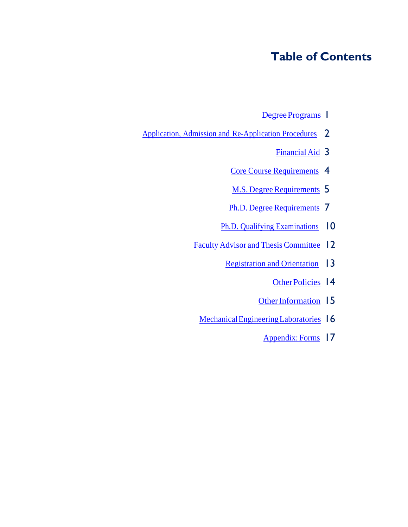### **Table of Contents**

- Degree Programs |
- [Application, Admission and](#page-3-0) Re-Application Procedures 2
	- [Financial](#page-4-0) Aid 3
	- Core Course [Requirements](#page-5-0) 4
	- M.S. Degree [Requirements](#page-6-0) 5
	- Ph.D. Degree [Requirements](#page-8-0) 7
	- Ph.D. Qualifying [Examinations](#page-11-0) 10
	- Faculty Advisor and Thesis [Committee](#page-13-0) 12
		- [Registration](#page-14-0) and Orientation 13
			- [OtherPolicies](#page-15-0) | 4
			- Other Information 15
		- Mechanical Engineering Laboratories 16
			- [Appendix:](#page-18-0) Forms 17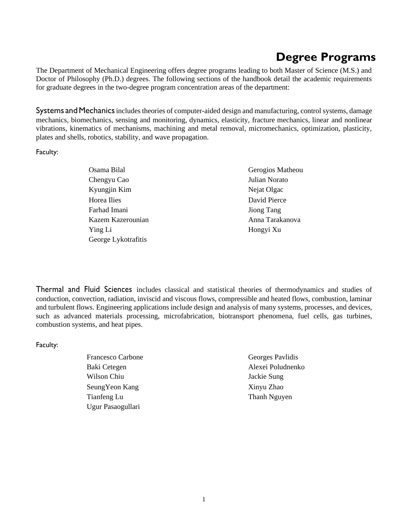# **Degree Programs**

<span id="page-2-0"></span>The Department of Mechanical Engineering offers degree programs leading to both Master of Science (M.S.) and Doctor of Philosophy (Ph.D.) degrees. The following sections of the handbook detail the academic requirements for graduate degrees in the two-degree program concentration areas of the department:

Systems and Mechanics includes theories of computer-aided design and manufacturing, control systems, damage mechanics, biomechanics, sensing and monitoring, dynamics, elasticity, fracture mechanics, linear and nonlinear vibrations, kinematics of mechanisms, machining and metal removal, micromechanics, optimization, plasticity, plates and shells, robotics, stability, and wave propagation.

Faculty:

- Osama Bilal Gerogios Matheou Chengyu Cao Julian Norato Kyungjin Kim Nejat Olgac Horea Ilies David Pierce Farhad Imani Jiong Tang Kazem Kazerounian Anna Tarakanova Ying Li Hongyi Xu George Lykotrafitis
- 

Thermal and Fluid Sciences includes classical and statistical theories of thermodynamics and studies of conduction, convection, radiation, inviscid and viscous flows, compressible and heated flows, combustion, laminar and turbulent flows. Engineering applications include design and analysis of many systems, processes, and devices, such as advanced materials processing, microfabrication, biotransport phenomena, fuel cells, gas turbines, combustion systems, and heat pipes.

Faculty:

- Francesco Carbone Georges Pavlidis Baki Cetegen Alexei Poludnenko Wilson Chiu Jackie Sung SeungYeon Kang Xinyu Zhao Tianfeng Lu Thanh Nguyen Ugur Pasaogullari
	-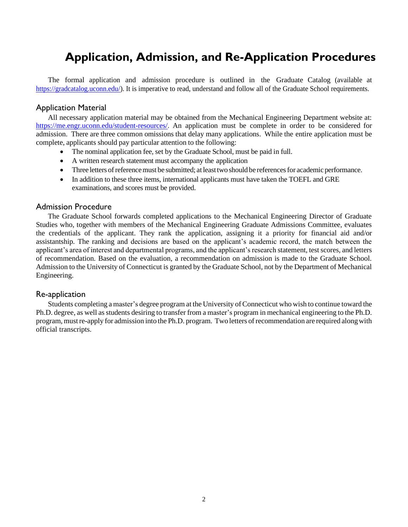# **Application, Admission, and Re-Application Procedures**

<span id="page-3-0"></span>The formal application and admission procedure is outlined in the Graduate Catalog (available at [https://gradcatalog.uconn.edu/\)](https://gradcatalog.uconn.edu/). It is imperative to read, understand and follow all of the Graduate School requirements.

#### Application Material

All necessary application material may be obtained from the Mechanical Engineering Department website at: [https://me.engr.uconn.edu/student-resources/.](https://me.engr.uconn.edu/student-resources/) An application must be complete in order to be considered for admission. There are three common omissions that delay many applications. While the entire application must be complete, applicants should pay particular attention to the following:

- The nominal application fee, set by the Graduate School, must be paid in full.
- A written research statement must accompany the application
- Three letters of reference must be submitted; at least two should be references for academic performance.
- In addition to these three items, international applicants must have taken the TOEFL and GRE examinations, and scores must be provided.

#### Admission Procedure

The Graduate School forwards completed applications to the Mechanical Engineering Director of Graduate Studies who, together with members of the Mechanical Engineering Graduate Admissions Committee, evaluates the credentials of the applicant. They rank the application, assigning it a priority for financial aid and/or assistantship. The ranking and decisions are based on the applicant's academic record, the match between the applicant's area of interest and departmental programs, and the applicant's research statement, test scores, and letters of recommendation. Based on the evaluation, a recommendation on admission is made to the Graduate School. Admission to the University of Connecticut is granted by the Graduate School, not by the Department of Mechanical Engineering.

#### Re-application

Students completing a master's degree program at the University of Connecticut who wish to continue toward the Ph.D. degree, as well asstudents desiring to transfer from a master's program in mechanical engineering to the Ph.D. program, must re-apply for admission into the Ph.D. program. Two letters of recommendation are required along with official transcripts.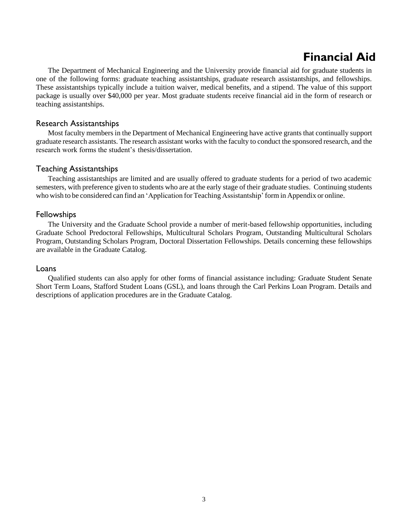# **Financial Aid**

<span id="page-4-0"></span>The Department of Mechanical Engineering and the University provide financial aid for graduate students in one of the following forms: graduate teaching assistantships, graduate research assistantships, and fellowships. These assistantships typically include a tuition waiver, medical benefits, and a stipend. The value of this support package is usually over \$40,000 per year. Most graduate students receive financial aid in the form of research or teaching assistantships.

#### Research Assistantships

Most faculty members in the Department of Mechanical Engineering have active grants that continually support graduate research assistants. The research assistant works with the faculty to conduct the sponsored research, and the research work forms the student's thesis/dissertation.

#### Teaching Assistantships

Teaching assistantships are limited and are usually offered to graduate students for a period of two academic semesters, with preference given to students who are at the early stage of their graduate studies. Continuing students who wish to be considered can find an 'Application for Teaching Assistantship' form in Appendix or online.

#### Fellowships

The University and the Graduate School provide a number of merit-based fellowship opportunities, including Graduate School Predoctoral Fellowships, Multicultural Scholars Program, Outstanding Multicultural Scholars Program, Outstanding Scholars Program, Doctoral Dissertation Fellowships. Details concerning these fellowships are available in the Graduate Catalog.

#### Loans

Qualified students can also apply for other forms of financial assistance including: Graduate Student Senate Short Term Loans, Stafford Student Loans (GSL), and loans through the Carl Perkins Loan Program. Details and descriptions of application procedures are in the Graduate Catalog.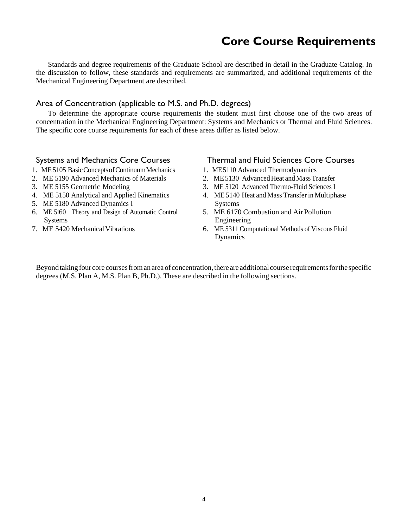### **Core Course Requirements**

<span id="page-5-0"></span>Standards and degree requirements of the Graduate School are described in detail in the Graduate Catalog. In the discussion to follow, these standards and requirements are summarized, and additional requirements of the Mechanical Engineering Department are described.

### Area of Concentration (applicable to M.S. and Ph.D. degrees)

To determine the appropriate course requirements the student must first choose one of the two areas of concentration in the Mechanical Engineering Department: Systems and Mechanics or Thermal and Fluid Sciences. The specific core course requirements for each of these areas differ as listed below.

#### Systems and Mechanics Core Courses

- 1. ME5105 BasicConceptsofContinuumMechanics
- 2. ME 5190 Advanced Mechanics of Materials
- 3. ME 5155 Geometric Modeling
- 4. ME 5150 Analytical and Applied Kinematics
- 5. ME 5180 Advanced Dynamics I
- 6. ME 5160 Theory and Design of Automatic Control **Systems**
- 7. ME 5420 Mechanical Vibrations

#### Thermal and Fluid Sciences Core Courses

- 1. ME5110 Advanced Thermodynamics
- 2. ME5130 Advanced Heat and Mass Transfer
- 3. ME 5120 Advanced Thermo-Fluid Sciences I
- 4. ME 5140 Heat and Mass Transfer in Multiphase Systems
- 5. ME 6170 Combustion and Air Pollution Engineering
- 6. ME 5311 Computational Methods of Viscous Fluid Dynamics

Beyond taking four core courses from an area of concentration, there are additional course requirements for the specific degrees (M.S. Plan A, M.S. Plan B, Ph.D.). These are described in the following sections.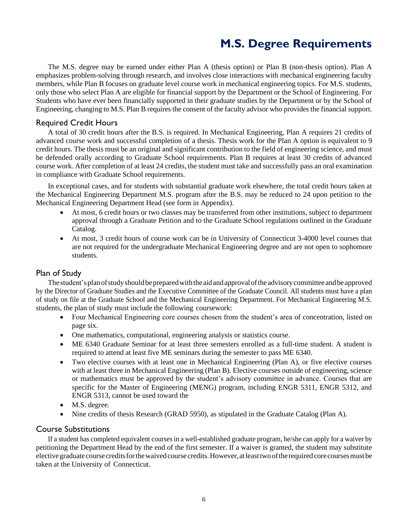# **M.S. Degree Requirements**

<span id="page-6-0"></span>The M.S. degree may be earned under either Plan A (thesis option) or Plan B (non-thesis option). Plan A emphasizes problem-solving through research, and involves close interactions with mechanical engineering faculty members, while Plan B focuses on graduate level course work in mechanical engineering topics. For M.S. students, only those who select Plan A are eligible for financial support by the Department or the School of Engineering. For Students who have ever been financially supported in their graduate studies by the Department or by the School of Engineering, changing to M.S. Plan B requires the consent of the faculty advisor who provides the financial support.

#### Required Credit Hours

A total of 30 credit hours after the B.S. is required. In Mechanical Engineering, Plan A requires 21 credits of advanced course work and successful completion of a thesis. Thesis work for the Plan A option is equivalent to 9 credit hours. The thesis must be an original and significant contribution to the field of engineering science, and must be defended orally according to Graduate School requirements. Plan B requires at least 30 credits of advanced course work. After completion of at least 24 credits, the student must take and successfully pass an oral examination in compliance with Graduate School requirements.

In exceptional cases, and for students with substantial graduate work elsewhere, the total credit hours taken at the Mechanical Engineering Department M.S. program after the B.S. may be reduced to 24 upon petition to the Mechanical Engineering Department Head (see form in Appendix).

- At most, 6 credit hours or two classes may be transferred from other institutions, subject to department approval through a Graduate Petition and to the Graduate School regulations outlined in the Graduate Catalog.
- At most, 3 credit hours of course work can be in University of Connecticut 3-4000 level courses that are not required for the undergraduate Mechanical Engineering degree and are not open to sophomore students.

#### Plan of Study

The student's plan of study should be prepared with the aid and approval of the advisory committee and be approved by the Director of Graduate Studies and the Executive Committee of the Graduate Council. All students must have a plan of study on file at the Graduate School and the Mechanical Engineering Department. For Mechanical Engineering M.S. students, the plan of study must include the following coursework:

- Four Mechanical Engineering core courses chosen from the student's area of concentration, listed on page six.
- One mathematics, computational, engineering analysis or statistics course.
- ME 6340 Graduate Seminar for at least three semesters enrolled as a full-time student. A student is required to attend at least five ME seminars during the semester to pass ME 6340.
- Two elective courses with at least one in Mechanical Engineering (Plan A), or five elective courses with at least three in Mechanical Engineering (Plan B). Elective courses outside of engineering, science or mathematics must be approved by the student's advisory committee in advance. Courses that are specific for the Master of Engineering (MENG) program, including ENGR 5311, ENGR 5312, and ENGR 5313, cannot be used toward the
- M.S. degree.
- Nine credits of thesis Research (GRAD 5950), as stipulated in the Graduate Catalog (Plan A).

#### Course Substitutions

If a student has completed equivalent courses in a well-established graduate program, he/she can apply for a waiver by petitioning the Department Head by the end of the first semester. If a waiver is granted, the student may substitute elective graduate course credits for the waived course credits. However, at least two of the required core courses must be taken at the University of Connecticut.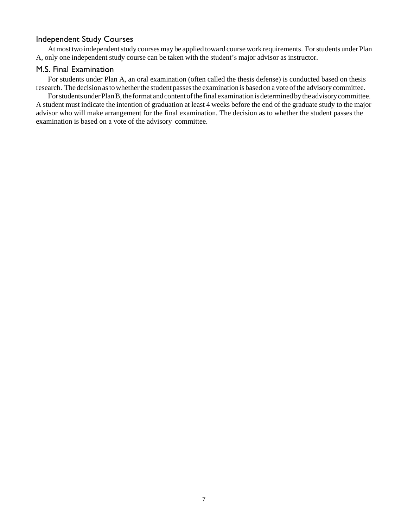### Independent Study Courses

At most two independent study courses may be applied toward course work requirements. For students under Plan A, only one independent study course can be taken with the student's major advisor as instructor.

#### M.S. Final Examination

For students under Plan A, an oral examination (often called the thesis defense) is conducted based on thesis research. The decision as to whether the student passes the examination is based on a vote of the advisory committee.

For students under Plan B, the format and content of the final examination is determined by the advisory committee. A student must indicate the intention of graduation at least 4 weeks before the end of the graduate study to the major advisor who will make arrangement for the final examination. The decision as to whether the student passes the examination is based on a vote of the advisory committee.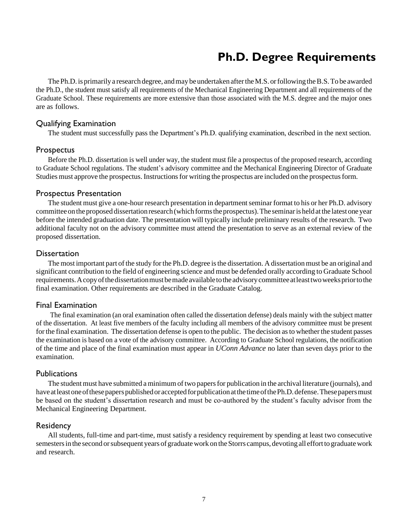### **Ph.D. Degree Requirements**

<span id="page-8-0"></span>The Ph.D. is primarily a research degree, and may be undertaken after the M.S. or following the B.S. To be awarded the Ph.D., the student must satisfy all requirements of the Mechanical Engineering Department and all requirements of the Graduate School. These requirements are more extensive than those associated with the M.S. degree and the major ones are as follows.

#### Qualifying Examination

The student must successfully pass the Department's Ph.D. qualifying examination, described in the next section.

#### Prospectus

Before the Ph.D. dissertation is well under way, the student must file a prospectus of the proposed research, according to Graduate School regulations. The student's advisory committee and the Mechanical Engineering Director of Graduate Studies must approve the prospectus. Instructions for writing the prospectus are included on the prospectus form.

#### Prospectus Presentation

The student must give a one-hour research presentation in department seminar format to his or her Ph.D. advisory committee on the proposed dissertation research (which forms the prospectus). The seminar is held at the latest one year before the intended graduation date. The presentation will typically include preliminary results of the research. Two additional faculty not on the advisory committee must attend the presentation to serve as an external review of the proposed dissertation.

#### **Dissertation**

The most important part of the study for the Ph.D. degree is the dissertation. A dissertation must be an original and significant contribution to the field of engineering science and must be defended orally according to Graduate School requirements.Acopyofthedissertationmustbemade available totheadvisorycommittee atleasttwoweekspriortothe final examination. Other requirements are described in the Graduate Catalog.

#### Final Examination

The final examination (an oral examination often called the dissertation defense) deals mainly with the subject matter of the dissertation. At least five members of the faculty including all members of the advisory committee must be present for the final examination. The dissertation defense is open to the public. The decision as to whether the student passes the examination is based on a vote of the advisory committee. According to Graduate School regulations, the notification of the time and place of the final examination must appear in *UConn Advance* no later than seven days prior to the examination.

#### **Publications**

The student must have submitted a minimum of two papers for publication in the archival literature (journals), and have at least one of these papers published or accepted for publication at the time of the Ph.D. defense. These papers must be based on the student's dissertation research and must be co-authored by the student's faculty advisor from the Mechanical Engineering Department.

#### Residency

All students, full-time and part-time, must satisfy a residency requirement by spending at least two consecutive semesters in the second or subsequent years of graduate work on the Storrs campus, devoting all effort to graduate work and research.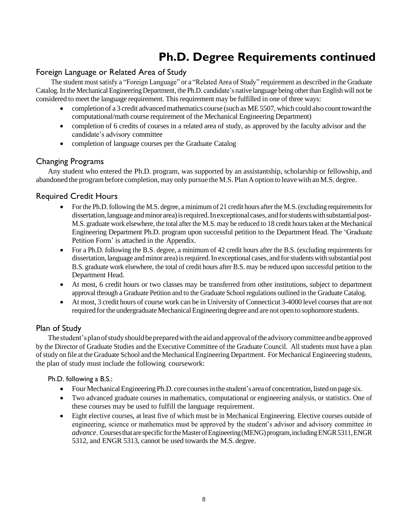# **Ph.D. Degree Requirements continued**

### Foreign Language or Related Area of Study

The student must satisfy a "Foreign Language" or a "Related Area of Study" requirement as described in the Graduate Catalog.In the Mechanical EngineeringDepartment, the Ph.D. candidate's native language being otherthan English will not be considered to meet the language requirement. This requirement may be fulfilled in one of three ways:

- completion of a 3 credit advancedmathematics course (such as ME5507, which could also count toward the computational/math course requirement of the Mechanical Engineering Department)
- completion of 6 credits of courses in a related area of study, as approved by the faculty advisor and the candidate's advisory committee
- completion of language courses per the Graduate Catalog

### Changing Programs

Any student who entered the Ph.D. program, was supported by an assistantship, scholarship or fellowship, and abandoned the program before completion, may only pursue the M.S. Plan A option to leave with an M.S. degree.

#### Required Credit Hours

- For the Ph.D. following the M.S. degree, a minimum of 21 credit hours after the M.S. (excluding requirements for dissertation, language and minor area) is required. In exceptional cases, and for students with substantial post-M.S. graduate work elsewhere, the total after the M.S. may be reduced to 18 credit hours taken at the Mechanical Engineering Department Ph.D. program upon successful petition to the Department Head. The 'Graduate Petition Form' is attached in the Appendix.
- For a Ph.D. following the B.S. degree, a minimum of 42 credit hours after the B.S. (excluding requirements for dissertation, language and minor area) is required. In exceptional cases, and for students with substantial post B.S. graduate work elsewhere, the total of credit hours after B.S. may be reduced upon successful petition to the Department Head.
- At most, 6 credit hours or two classes may be transferred from other institutions, subject to department approval through a Graduate Petition and to the Graduate School regulations outlined in the Graduate Catalog.
- At most, 3 credit hours of course work can be in University of Connecticut 3-4000 level courses that are not required for the undergraduate Mechanical Engineering degree and are not open to sophomore students.

#### Plan of Study

The student's plan of study should be prepared with the aid and approval of the advisory committee and be approved by the Director of Graduate Studies and the Executive Committee of the Graduate Council. All students must have a plan ofstudy on file at the Graduate School and the Mechanical Engineering Department. For Mechanical Engineering students, the plan of study must include the following coursework:

#### Ph.D. following a B.S.:

- Four Mechanical Engineering Ph.D. core courses in the student's area of concentration, listed on page six.
- Two advanced graduate courses in mathematics, computational or engineering analysis, or statistics. One of these courses may be used to fulfill the language requirement.
- Eight elective courses, at least five of which must be in Mechanical Engineering. Elective courses outside of engineering, science or mathematics must be approved by the student's advisor and advisory committee *in advance*. Courses that are specific for the Master of Engineering (MENG) program, including ENGR 5311, ENGR 5312, and ENGR 5313, cannot be used towards the M.S. degree.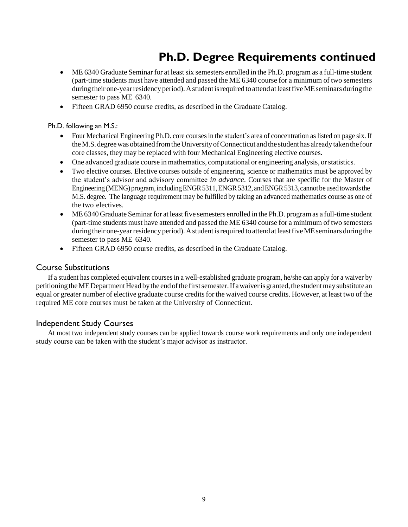# **Ph.D. Degree Requirements continued**

- ME 6340 Graduate Seminar for at least six semesters enrolled in the Ph.D. program as a full-time student (part-time students must have attended and passed the ME 6340 course for a minimum of two semesters during their one-year residency period). A student is required to attend at least five ME seminars during the semester to pass ME 6340.
- Fifteen GRAD 6950 course credits, as described in the Graduate Catalog.

Ph.D. following an M.S.:

- Four Mechanical Engineering Ph.D. core coursesin the student's area of concentration aslisted on page six. If theM.S.degreewasobtained fromtheUniversityofConnecticut andthe studenthas alreadytakenthe four core classes, they may be replaced with four Mechanical Engineering elective courses.
- One advanced graduate course inmathematics, computational or engineering analysis, orstatistics.
- Two elective courses. Elective courses outside of engineering, science or mathematics must be approved by the student's advisor and advisory committee *in advance*. Courses that are specific for the Master of Engineering (MENG) program, including ENGR 5311, ENGR 5312, and ENGR 5313, cannot be used towards the M.S. degree. The language requirement may be fulfilled by taking an advanced mathematics course as one of the two electives.
- ME6340 Graduate Seminar for at least five semesters enrolled in the Ph.D. program as a full-time student (part-time students must have attended and passed the ME 6340 course for a minimum of two semesters during their one-year residency period). A student is required to attend at least five ME seminars during the semester to pass ME 6340.
- Fifteen GRAD 6950 course credits, as described in the Graduate Catalog.

#### Course Substitutions

If a student has completed equivalent courses in a well-established graduate program, he/she can apply for a waiver by petitioning the MEDepartment Head by the end of the first semester. If a waiver is granted, the student may substitute an equal or greater number of elective graduate course credits for the waived course credits. However, at least two of the required ME core courses must be taken at the University of Connecticut.

#### Independent Study Courses

At most two independent study courses can be applied towards course work requirements and only one independent study course can be taken with the student's major advisor as instructor.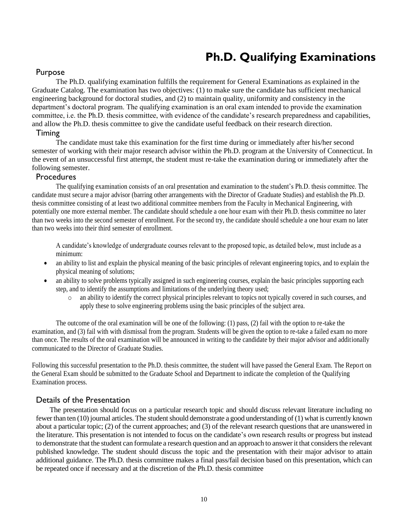# **Ph.D. Qualifying Examinations**

#### <span id="page-11-0"></span>Purpose

The Ph.D. qualifying examination fulfills the requirement for General Examinations as explained in the Graduate Catalog. The examination has two objectives: (1) to make sure the candidate has sufficient mechanical engineering background for doctoral studies, and (2) to maintain quality, uniformity and consistency in the department's doctoral program. The qualifying examination is an oral exam intended to provide the examination committee, i.e. the Ph.D. thesis committee, with evidence of the candidate's research preparedness and capabilities, and allow the Ph.D. thesis committee to give the candidate useful feedback on their research direction.

#### Timing

The candidate must take this examination for the first time during or immediately after his/her second semester of working with their major research advisor within the Ph.D. program at the University of Connecticut. In the event of an unsuccessful first attempt, the student must re-take the examination during or immediately after the following semester.

#### **Procedures**

The qualifying examination consists of an oral presentation and examination to the student's Ph.D. thesis committee. The candidate must secure a major advisor (barring other arrangements with the Director of Graduate Studies) and establish the Ph.D. thesis committee consisting of at least two additional committee members from the Faculty in Mechanical Engineering, with potentially one more external member. The candidate should schedule a one hour exam with their Ph.D. thesis committee no later than two weeks into the second semester of enrollment. For the second try, the candidate should schedule a one hour exam no later than two weeks into their third semester of enrollment.

A candidate's knowledge of undergraduate courses relevant to the proposed topic, as detailed below, must include as a minimum:

- an ability to list and explain the physical meaning of the basic principles of relevant engineering topics, and to explain the physical meaning of solutions;
- an ability to solve problems typically assigned in such engineering courses, explain the basic principles supporting each step, and to identify the assumptions and limitations of the underlying theory used;
	- o an ability to identify the correct physical principles relevant to topics not typically covered in such courses, and apply these to solve engineering problems using the basic principles of the subject area.

The outcome of the oral examination will be one of the following: (1) pass, (2) fail with the option to re-take the examination, and (3) fail with with dismissal from the program. Students will be given the option to re-take a failed exam no more than once. The results of the oral examination will be announced in writing to the candidate by their major advisor and additionally communicated to the Director of Graduate Studies.

Following this successful presentation to the Ph.D. thesis committee, the student will have passed the General Exam. The Report on the General Exam should be submitted to the Graduate School and Department to indicate the completion of the Qualifying Examination process.

### Details of the Presentation

The presentation should focus on a particular research topic and should discuss relevant literature including no fewer than ten (10) journal articles. The student should demonstrate a good understanding of (1) what is currently known about a particular topic; (2) of the current approaches; and (3) of the relevant research questions that are unanswered in the literature. This presentation is not intended to focus on the candidate's own research results or progress but instead to demonstrate that the student can formulate a research question and an approach to answer it that considers the relevant published knowledge. The student should discuss the topic and the presentation with their major advisor to attain additional guidance. The Ph.D. thesis committee makes a final pass/fail decision based on this presentation, which can be repeated once if necessary and at the discretion of the Ph.D. thesis committee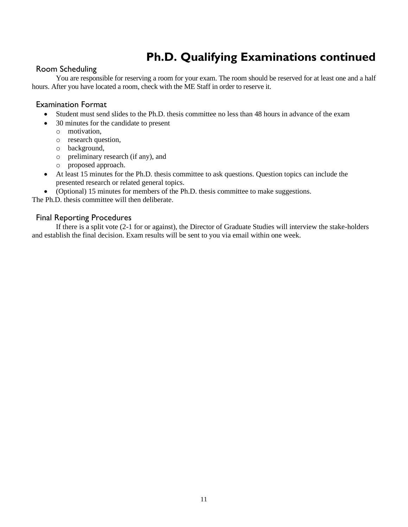# **Ph.D. Qualifying Examinations continued**

### Room Scheduling

You are responsible for reserving a room for your exam. The room should be reserved for at least one and a half hours. After you have located a room, check with the ME Staff in order to reserve it.

#### Examination Format

- Student must send slides to the Ph.D. thesis committee no less than 48 hours in advance of the exam
- 30 minutes for the candidate to present
	- o motivation,
	- o research question,
	- o background,
	- o preliminary research (if any), and
	- o proposed approach.
- At least 15 minutes for the Ph.D. thesis committee to ask questions. Question topics can include the presented research or related general topics.
- (Optional) 15 minutes for members of the Ph.D. thesis committee to make suggestions.

The Ph.D. thesis committee will then deliberate.

#### Final Reporting Procedures

If there is a split vote (2-1 for or against), the Director of Graduate Studies will interview the stake-holders and establish the final decision. Exam results will be sent to you via email within one week.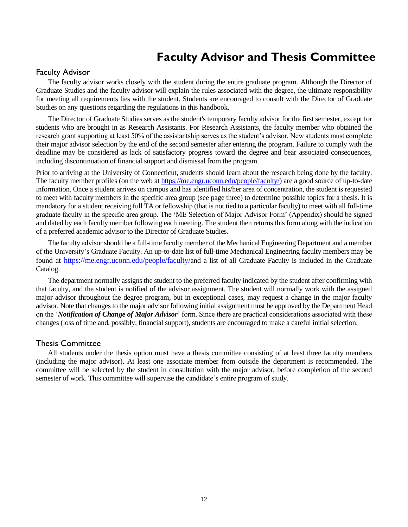### **Faculty Advisor and Thesis Committee**

#### <span id="page-13-0"></span>Faculty Advisor

The faculty advisor works closely with the student during the entire graduate program. Although the Director of Graduate Studies and the faculty advisor will explain the rules associated with the degree, the ultimate responsibility for meeting all requirements lies with the student. Students are encouraged to consult with the Director of Graduate Studies on any questions regarding the regulations in this handbook.

The Director of Graduate Studies serves as the student's temporary faculty advisor for the first semester, except for students who are brought in as Research Assistants. For Research Assistants, the faculty member who obtained the research grant supporting at least 50% of the assistantship serves as the student's advisor. New students must complete their major advisor selection by the end of the second semester after entering the program. Failure to comply with the deadline may be considered as lack of satisfactory progress toward the degree and bear associated consequences, including discontinuation of financial support and dismissal from the program.

Prior to arriving at the University of Connecticut, students should learn about the research being done by the faculty. The faculty member profiles (on the web at [https://me.engr.uconn.edu/people/faculty/\)](https://me.engr.uconn.edu/people/faculty/) are a good source of up-to-date information. Once a student arrives on campus and has identified his/her area of concentration, the student is requested to meet with faculty members in the specific area group (see page three) to determine possible topics for a thesis. It is mandatory for a student receiving full TA or fellowship (that is not tied to a particular faculty) to meet with all full-time graduate faculty in the specific area group. The 'ME Selection of Major Advisor Form' (Appendix) should be signed and dated by each faculty member following each meeting. The student then returns this form along with the indication of a preferred academic advisor to the Director of Graduate Studies.

The faculty advisor should be a full-time faculty member of the Mechanical Engineering Department and a member of the University's Graduate Faculty. An up-to-date list of full-time Mechanical Engineering faculty members may be found at <https://me.engr.uconn.edu/people/faculty/>and a list of all Graduate Faculty is included in the Graduate Catalog.

The department normally assigns the student to the preferred faculty indicated by the student after confirming with that faculty, and the student is notified of the advisor assignment. The student will normally work with the assigned major advisor throughout the degree program, but in exceptional cases, may request a change in the major faculty advisor. Note that changes to the major advisor following initial assignment must be approved by the Department Head on the '*Notification of Change of Major Advisor*' form. Since there are practical considerations associated with these changes (loss of time and, possibly, financial support), students are encouraged to make a careful initial selection.

#### Thesis Committee

All students under the thesis option must have a thesis committee consisting of at least three faculty members (including the major advisor). At least one associate member from outside the department is recommended. The committee will be selected by the student in consultation with the major advisor, before completion of the second semester of work. This committee will supervise the candidate's entire program of study.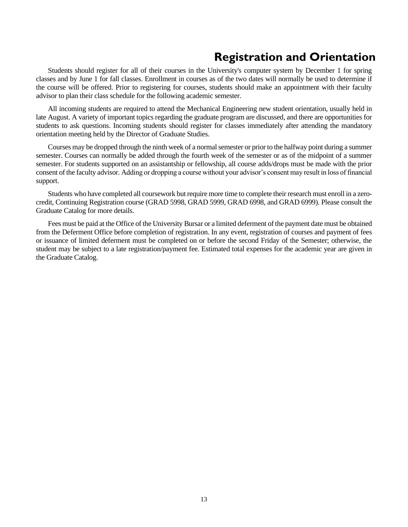### **Registration and Orientation**

<span id="page-14-0"></span>Students should register for all of their courses in the University's computer system by December 1 for spring classes and by June 1 for fall classes. Enrollment in courses as of the two dates will normally be used to determine if the course will be offered. Prior to registering for courses, students should make an appointment with their faculty advisor to plan their class schedule for the following academic semester.

All incoming students are required to attend the Mechanical Engineering new student orientation, usually held in late August. A variety of important topics regarding the graduate program are discussed, and there are opportunities for students to ask questions. Incoming students should register for classes immediately after attending the mandatory orientation meeting held by the Director of Graduate Studies.

Courses may be dropped through the ninth week of a normal semester or prior to the halfway point during a summer semester. Courses can normally be added through the fourth week of the semester or as of the midpoint of a summer semester. For students supported on an assistantship or fellowship, all course adds/drops must be made with the prior consent of the faculty advisor. Adding or dropping a course without your advisor's consent may result in loss of financial support.

Students who have completed all coursework but require more time to complete their research must enroll in a zerocredit, Continuing Registration course (GRAD 5998, GRAD 5999, GRAD 6998, and GRAD 6999). Please consult the Graduate Catalog for more details.

Fees must be paid at the Office of the University Bursar or a limited deferment of the payment date must be obtained from the Deferment Office before completion of registration. In any event, registration of courses and payment of fees or issuance of limited deferment must be completed on or before the second Friday of the Semester; otherwise, the student may be subject to a late registration/payment fee. Estimated total expenses for the academic year are given in the Graduate Catalog.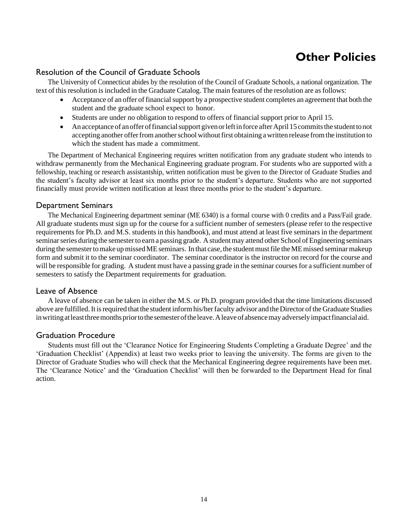# **Other Policies**

### <span id="page-15-0"></span>Resolution of the Council of Graduate Schools

The University of Connecticut abides by the resolution of the Council of Graduate Schools, a national organization. The text of this resolution is included in the Graduate Catalog. The main features of the resolution are as follows:

- Acceptance of an offer of financial support by a prospective student completes an agreement that both the student and the graduate school expect to honor.
- Students are under no obligation to respond to offers of financial support prior to April 15.
- An acceptance of an offer of financial support given or left in force after April 15 commits the student to not accepting another offer from another school without first obtaining a written release from the institution to which the student has made a commitment.

The Department of Mechanical Engineering requires written notification from any graduate student who intends to withdraw permanently from the Mechanical Engineering graduate program. For students who are supported with a fellowship, teaching or research assistantship, written notification must be given to the Director of Graduate Studies and the student's faculty advisor at least six months prior to the student's departure. Students who are not supported financially must provide written notification at least three months prior to the student's departure.

#### Department Seminars

The Mechanical Engineering department seminar (ME 6340) is a formal course with 0 credits and a Pass/Fail grade. All graduate students must sign up for the course for a sufficient number of semesters (please refer to the respective requirements for Ph.D. and M.S. students in this handbook), and must attend at least five seminars in the department seminar series during the semester to earn a passing grade. A student may attend other School of Engineering seminars during the semester to make up missed ME seminars. In that case, the student must file the ME missed seminar makeup form and submit it to the seminar coordinator. The seminar coordinator is the instructor on record for the course and will be responsible for grading. A student must have a passing grade in the seminar courses for a sufficient number of semesters to satisfy the Department requirements for graduation.

#### Leave of Absence

A leave of absence can be taken in either the M.S. or Ph.D. program provided that the time limitations discussed above are fulfilled. It is required that the student inform his/her faculty advisor and the Director of the Graduate Studies in writing at least three months prior to the semester of the leave. A leave of absence may adversely impact financial aid.

#### Graduation Procedure

Students must fill out the 'Clearance Notice for Engineering Students Completing a Graduate Degree' and the 'Graduation Checklist' (Appendix) at least two weeks prior to leaving the university. The forms are given to the Director of Graduate Studies who will check that the Mechanical Engineering degree requirements have been met. The 'Clearance Notice' and the 'Graduation Checklist' will then be forwarded to the Department Head for final action.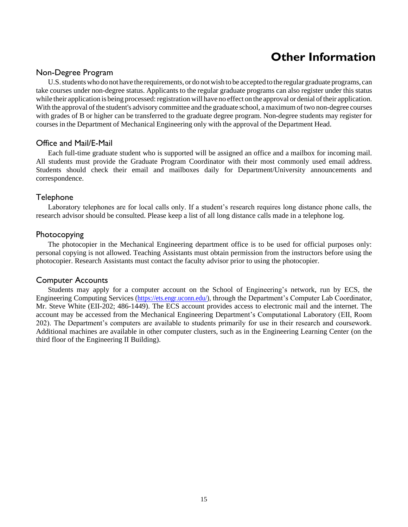# **Other Information**

#### <span id="page-16-0"></span>Non-Degree Program

U.S. students who do not have the requirements, or do not wish to be accepted to the regular graduate programs, can take courses under non-degree status. Applicants to the regular graduate programs can also register under this status while their application is being processed: registration will have no effect on the approval or denial of their application. With the approval of the student's advisory committee and the graduate school, a maximum of two non-degree courses with grades of B or higher can be transferred to the graduate degree program. Non-degree students may register for courses in the Department of Mechanical Engineering only with the approval of the Department Head.

#### Office and Mail/E-Mail

Each full-time graduate student who is supported will be assigned an office and a mailbox for incoming mail. All students must provide the Graduate Program Coordinator with their most commonly used email address. Students should check their email and mailboxes daily for Department/University announcements and correspondence.

#### Telephone

Laboratory telephones are for local calls only. If a student's research requires long distance phone calls, the research advisor should be consulted. Please keep a list of all long distance calls made in a telephone log.

#### Photocopying

The photocopier in the Mechanical Engineering department office is to be used for official purposes only: personal copying is not allowed. Teaching Assistants must obtain permission from the instructors before using the photocopier. Research Assistants must contact the faculty advisor prior to using the photocopier.

#### Computer Accounts

Students may apply for a computer account on the School of Engineering's network, run by ECS, the Engineering Computing Services [\(https://ets.engr.uconn.edu/\)](https://ets.engr.uconn.edu/), through the Department's Computer Lab Coordinator, Mr. Steve White (EII-202; 486-1449). The ECS account provides access to electronic mail and the internet. The account may be accessed from the Mechanical Engineering Department's Computational Laboratory (EII, Room 202). The Department's computers are available to students primarily for use in their research and coursework. Additional machines are available in other computer clusters, such as in the Engineering Learning Center (on the third floor of the Engineering II Building).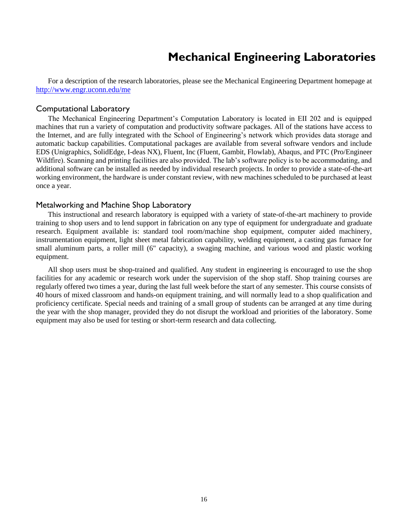### **Mechanical Engineering Laboratories**

<span id="page-17-0"></span>For a description of the research laboratories, please see the Mechanical Engineering Department homepage at <http://www.engr.uconn.edu/me>

#### Computational Laboratory

The Mechanical Engineering Department's Computation Laboratory is located in EII 202 and is equipped machines that run a variety of computation and productivity software packages. All of the stations have access to the Internet, and are fully integrated with the School of Engineering's network which provides data storage and automatic backup capabilities. Computational packages are available from several software vendors and include EDS (Unigraphics, SolidEdge, I-deas NX), Fluent, Inc (Fluent, Gambit, Flowlab), Abaqus, and PTC (Pro/Engineer Wildfire). Scanning and printing facilities are also provided. The lab's software policy is to be accommodating, and additional software can be installed as needed by individual research projects. In order to provide a state-of-the-art working environment, the hardware is under constant review, with new machines scheduled to be purchased at least once a year.

#### Metalworking and Machine Shop Laboratory

This instructional and research laboratory is equipped with a variety of state-of-the-art machinery to provide training to shop users and to lend support in fabrication on any type of equipment for undergraduate and graduate research. Equipment available is: standard tool room/machine shop equipment, computer aided machinery, instrumentation equipment, light sheet metal fabrication capability, welding equipment, a casting gas furnace for small aluminum parts, a roller mill (6" capacity), a swaging machine, and various wood and plastic working equipment.

All shop users must be shop-trained and qualified. Any student in engineering is encouraged to use the shop facilities for any academic or research work under the supervision of the shop staff. Shop training courses are regularly offered two times a year, during the last full week before the start of any semester. This course consists of 40 hours of mixed classroom and hands-on equipment training, and will normally lead to a shop qualification and proficiency certificate. Special needs and training of a small group of students can be arranged at any time during the year with the shop manager, provided they do not disrupt the workload and priorities of the laboratory. Some equipment may also be used for testing or short-term research and data collecting.